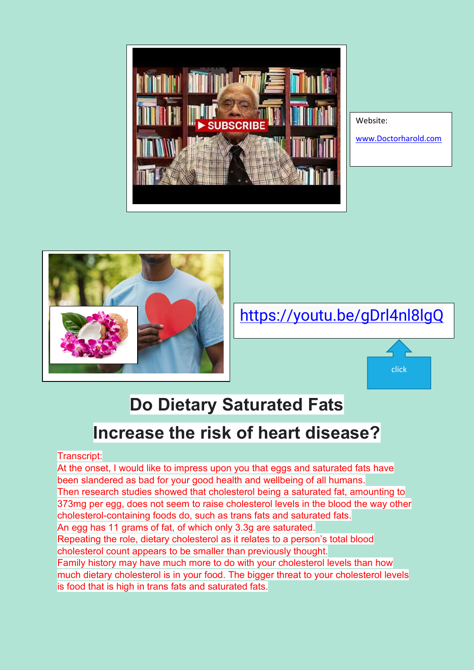



[www.Doctorharold.com](http://www.doctorharold.com/)

click



<https://youtu.be/gDrl4nl8lgQ>

## **Do Dietary Saturated Fats**

## **Increase the risk of heart disease?**

Transcript:

At the onset, I would like to impress upon you that eggs and saturated fats have been slandered as bad for your good health and wellbeing of all humans. Then research studies showed that cholesterol being a saturated fat, amounting to 373mg per egg, does not seem to raise cholesterol levels in the blood the way other cholesterol-containing foods do, such as trans fats and saturated fats. An egg has 11 grams of fat, of which only 3.3g are saturated.

Repeating the role, dietary cholesterol as it relates to a person's total blood cholesterol count appears to be smaller than previously thought.

Family history may have much more to do with your cholesterol levels than how much dietary cholesterol is in your food. The bigger threat to your cholesterol levels is food that is high in trans fats and saturated fats.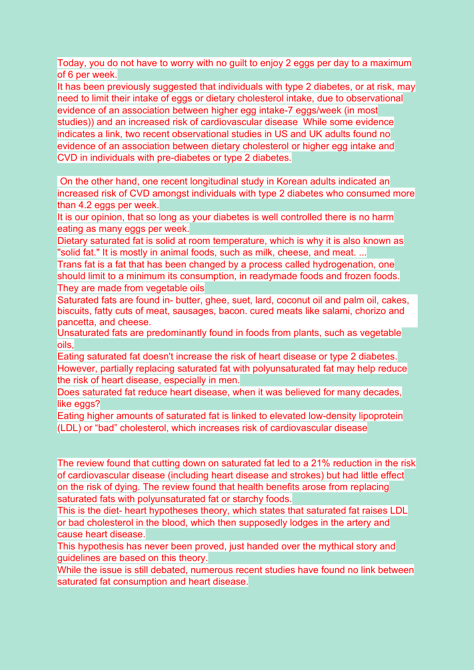Today, you do not have to worry with no guilt to enjoy 2 eggs per day to a maximum of 6 per week.

It has been previously suggested that individuals with type 2 diabetes, or at risk, may need to limit their intake of eggs or dietary cholesterol intake, due to observational evidence of an association between higher egg intake-7 eggs/week (in most studies)) and an increased risk of cardiovascular disease While some evidence indicates a link, two recent observational studies in US and UK adults found no evidence of an association between dietary cholesterol or higher egg intake and CVD in individuals with pre-diabetes or type 2 diabetes.

On the other hand, one recent longitudinal study in Korean adults indicated an increased risk of CVD amongst individuals with type 2 diabetes who consumed more than 4.2 eggs per week.

It is our opinion, that so long as your diabetes is well controlled there is no harm eating as many eggs per week.

Dietary saturated fat is solid at room temperature, which is why it is also known as "solid fat." It is mostly in animal foods, such as milk, cheese, and meat. ...

Trans fat is a fat that has been changed by a process called hydrogenation, one should limit to a minimum its consumption, in readymade foods and frozen foods. They are made from vegetable oils

Saturated fats are found in- butter, ghee, suet, lard, coconut oil and palm oil, cakes, biscuits, fatty cuts of meat, sausages, bacon. cured meats like salami, chorizo and pancetta, and cheese.

Unsaturated fats are predominantly found in foods from plants, such as vegetable oils,

Eating saturated fat doesn't increase the risk of heart disease or type 2 diabetes. However, partially replacing saturated fat with polyunsaturated fat may help reduce the risk of heart disease, especially in men.

Does saturated fat reduce heart disease, when it was believed for many decades, like eggs?

Eating higher amounts of saturated fat is linked to elevated low-density lipoprotein (LDL) or "bad" cholesterol, which increases risk of cardiovascular disease

The review found that cutting down on saturated fat led to a 21% reduction in the risk of cardiovascular disease (including heart disease and strokes) but had little effect on the risk of dying. The review found that health benefits arose from replacing saturated fats with polyunsaturated fat or starchy foods.

This is the diet- heart hypotheses theory, which states that saturated fat raises LDL or bad cholesterol in the blood, which then supposedly lodges in the artery and cause heart disease.

This hypothesis has never been proved, just handed over the mythical story and guidelines are based on this theory.

While the issue is still debated, numerous recent studies have found no link between saturated fat consumption and heart disease.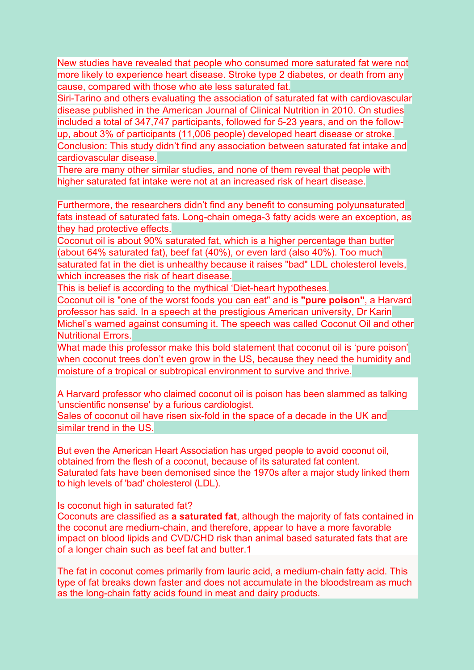New studies have revealed that people who consumed more saturated fat were not more likely to experience heart disease. Stroke type 2 diabetes, or death from any cause, compared with those who ate less saturated fat.

Siri-Tarino and others evaluating the association of saturated fat with cardiovascular disease published in the American Journal of Clinical Nutrition in 2010. On studies included a total of 347,747 participants, followed for 5-23 years, and on the followup, about 3% of participants (11,006 people) developed heart disease or stroke. Conclusion: This study didn't find any association between saturated fat intake and cardiovascular disease.

There are many other similar studies, and none of them reveal that people with higher saturated fat intake were not at an increased risk of heart disease.

Furthermore, the researchers didn't find any benefit to consuming polyunsaturated fats instead of saturated fats. Long-chain omega-3 fatty acids were an exception, as they had protective effects.

Coconut oil is about 90% saturated fat, which is a higher percentage than butter (about 64% saturated fat), beef fat (40%), or even lard (also 40%). Too much saturated fat in the diet is unhealthy because it raises "bad" LDL cholesterol levels, which increases the risk of heart disease.

This is belief is according to the mythical 'Diet-heart hypotheses.

Coconut oil is "one of the worst foods you can eat" and is **"pure poison"**, a Harvard professor has said. In a speech at the prestigious American university, Dr Karin Michel's warned against consuming it. The speech was called Coconut Oil and other Nutritional Errors.

What made this professor make this bold statement that coconut oil is 'pure poison' when coconut trees don't even grow in the US, because they need the humidity and moisture of a tropical or subtropical environment to survive and thrive.

A Harvard professor who claimed coconut oil is poison has been slammed as talking 'unscientific nonsense' by a furious cardiologist.

Sales of coconut oil have risen six-fold in the space of a decade in the UK and similar trend in the US.

But even the American Heart Association has urged people to avoid coconut oil, obtained from the flesh of a coconut, because of its saturated fat content. Saturated fats have been demonised since the 1970s after a major study linked them to high levels of 'bad' cholesterol (LDL).

Is coconut high in saturated fat?

Coconuts are classified as **a saturated fat**, although the majority of fats contained in the coconut are medium-chain, and therefore, appear to have a more favorable impact on blood lipids and CVD/CHD risk than animal based saturated fats that are of a longer chain such as beef fat and butter.1

The fat in coconut comes primarily from lauric acid, a medium-chain fatty acid. This type of fat breaks down faster and does not accumulate in the bloodstream as much as the long-chain fatty acids found in meat and dairy products.